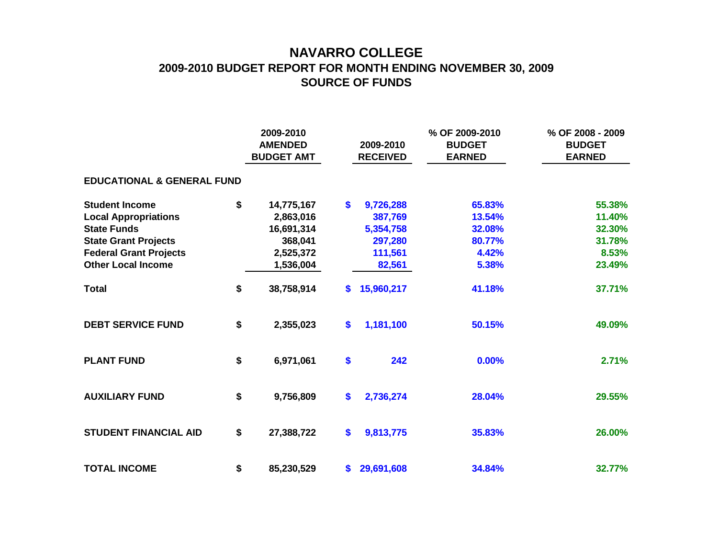## **NAVARRO COLLEGE 2009-2010 BUDGET REPORT FOR MONTH ENDING NOVEMBER 30, 2009 SOURCE OF FUNDS**

|                                       |    | 2009-2010<br><b>AMENDED</b><br><b>BUDGET AMT</b> |     | 2009-2010<br><b>RECEIVED</b> | % OF 2009-2010<br><b>BUDGET</b><br><b>EARNED</b> | % OF 2008 - 2009<br><b>BUDGET</b><br><b>EARNED</b> |
|---------------------------------------|----|--------------------------------------------------|-----|------------------------------|--------------------------------------------------|----------------------------------------------------|
| <b>EDUCATIONAL &amp; GENERAL FUND</b> |    |                                                  |     |                              |                                                  |                                                    |
| <b>Student Income</b>                 | \$ | 14,775,167                                       | \$  | 9,726,288                    | 65.83%                                           | 55.38%                                             |
| <b>Local Appropriations</b>           |    | 2,863,016                                        |     | 387,769                      | 13.54%                                           | 11.40%                                             |
| <b>State Funds</b>                    |    | 16,691,314                                       |     | 5,354,758                    | 32.08%                                           | 32.30%                                             |
| <b>State Grant Projects</b>           |    | 368,041                                          |     | 297,280                      | 80.77%                                           | 31.78%                                             |
| <b>Federal Grant Projects</b>         |    | 2,525,372                                        |     | 111,561                      | 4.42%                                            | 8.53%                                              |
| <b>Other Local Income</b>             |    | 1,536,004                                        |     | 82,561                       | 5.38%                                            | 23.49%                                             |
| <b>Total</b>                          | \$ | 38,758,914                                       | \$. | 15,960,217                   | 41.18%                                           | 37.71%                                             |
| <b>DEBT SERVICE FUND</b>              | \$ | 2,355,023                                        | \$  | 1,181,100                    | 50.15%                                           | 49.09%                                             |
| <b>PLANT FUND</b>                     | \$ | 6,971,061                                        | \$  | 242                          | 0.00%                                            | 2.71%                                              |
| <b>AUXILIARY FUND</b>                 | \$ | 9,756,809                                        | \$  | 2,736,274                    | 28.04%                                           | 29.55%                                             |
| <b>STUDENT FINANCIAL AID</b>          | \$ | 27,388,722                                       | \$  | 9,813,775                    | 35.83%                                           | 26.00%                                             |
| <b>TOTAL INCOME</b>                   | \$ | 85,230,529                                       |     | \$29,691,608                 | 34.84%                                           | 32.77%                                             |